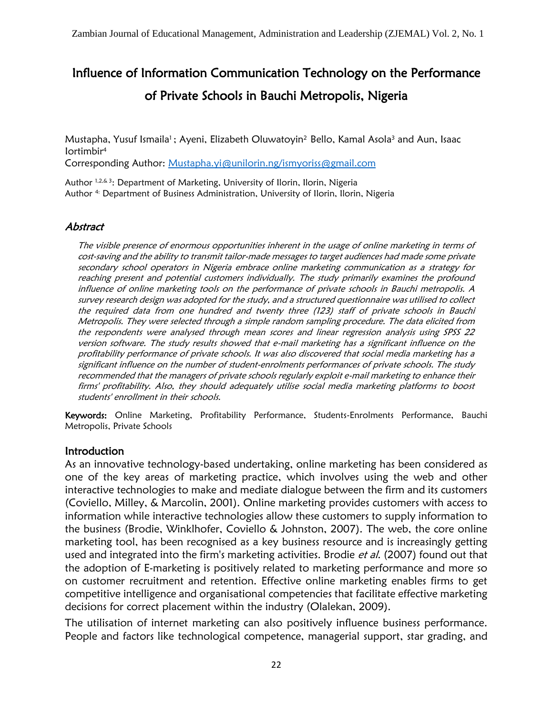# Influence of Information Communication Technology on the Performance of Private Schools in Bauchi Metropolis, Nigeria

Mustapha, Yusuf Ismaila<sup>1</sup>; Ayeni, Elizabeth Oluwatoyin<sup>2</sup> Bello, Kamal Asola<sup>3</sup> and Aun, Isaac Iortimbir<sup>4</sup>

Corresponding Author: [Mustapha.yi@unilorin.ng/](mailto:Mustapha.yi@unilorin.ng/)[ismyoriss@gmail.com](mailto:ismyoriss@gmail.com)

Author 1,2,& 3: Department of Marketing, University of Ilorin, Ilorin, Nigeria Author <sup>4:</sup> Department of Business Administration, University of Ilorin, Ilorin, Nigeria

#### Abstract

The visible presence of enormous opportunities inherent in the usage of online marketing in terms of cost-saving and the ability to transmit tailor-made messages to target audiences had made some private secondary school operators in Nigeria embrace online marketing communication as a strategy for reaching present and potential customers individually. The study primarily examines the profound influence of online marketing tools on the performance of private schools in Bauchi metropolis. A survey research design was adopted for the study, and a structured questionnaire was utilised to collect the required data from one hundred and twenty three (123) staff of private schools in Bauchi Metropolis. They were selected through a simple random sampling procedure. The data elicited from the respondents were analysed through mean scores and linear regression analysis using SPSS 22 version software. The study results showed that e-mail marketing has a significant influence on the profitability performance of private schools. It was also discovered that social media marketing has a significant influence on the number of student-enrolments performances of private schools. The study recommended that the managers of private schools regularly exploit e-mail marketing to enhance their firms' profitability. Also, they should adequately utilise social media marketing platforms to boost students' enrollment in their schools.

Keywords: Online Marketing, Profitability Performance, Students-Enrolments Performance, Bauchi Metropolis, Private Schools

#### Introduction

As an innovative technology-based undertaking, online marketing has been considered as one of the key areas of marketing practice, which involves using the web and other interactive technologies to make and mediate dialogue between the firm and its customers (Coviello, Milley, & Marcolin, 2001). Online marketing provides customers with access to information while interactive technologies allow these customers to supply information to the business (Brodie, Winklhofer, Coviello & Johnston, 2007). The web, the core online marketing tool, has been recognised as a key business resource and is increasingly getting used and integrated into the firm's marketing activities. Brodie et al. (2007) found out that the adoption of E-marketing is positively related to marketing performance and more so on customer recruitment and retention. Effective online marketing enables firms to get competitive intelligence and organisational competencies that facilitate effective marketing decisions for correct placement within the industry (Olalekan, 2009).

The utilisation of internet marketing can also positively influence business performance. People and factors like technological competence, managerial support, star grading, and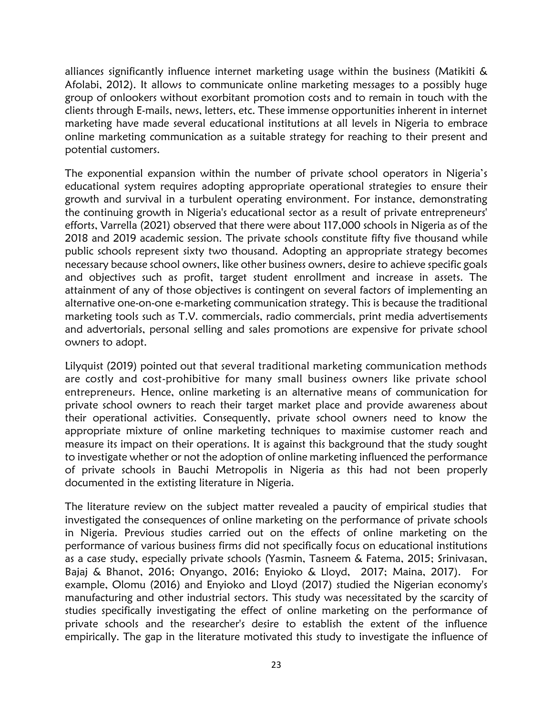alliances significantly influence internet marketing usage within the business (Matikiti & Afolabi, 2012). It allows to communicate online marketing messages to a possibly huge group of onlookers without exorbitant promotion costs and to remain in touch with the clients through E-mails, news, letters, etc. These immense opportunities inherent in internet marketing have made several educational institutions at all levels in Nigeria to embrace online marketing communication as a suitable strategy for reaching to their present and potential customers.

The exponential expansion within the number of private school operators in Nigeria's educational system requires adopting appropriate operational strategies to ensure their growth and survival in a turbulent operating environment. For instance, demonstrating the continuing growth in Nigeria's educational sector as a result of private entrepreneurs' efforts, Varrella (2021) observed that there were about 117,000 schools in Nigeria as of the 2018 and 2019 academic session. The private schools constitute fifty five thousand while public schools represent sixty two thousand. Adopting an appropriate strategy becomes necessary because school owners, like other business owners, desire to achieve specific goals and objectives such as profit, target student enrollment and increase in assets. The attainment of any of those objectives is contingent on several factors of implementing an alternative one-on-one e-marketing communication strategy. This is because the traditional marketing tools such as T.V. commercials, radio commercials, print media advertisements and advertorials, personal selling and sales promotions are expensive for private school owners to adopt.

Lilyquist (2019) pointed out that several traditional marketing communication methods are costly and cost-prohibitive for many small business owners like private school entrepreneurs. Hence, online marketing is an alternative means of communication for private school owners to reach their target market place and provide awareness about their operational activities. Consequently, private school owners need to know the appropriate mixture of online marketing techniques to maximise customer reach and measure its impact on their operations. It is against this background that the study sought to investigate whether or not the adoption of online marketing influenced the performance of private schools in Bauchi Metropolis in Nigeria as this had not been properly documented in the extisting literature in Nigeria.

The literature review on the subject matter revealed a paucity of empirical studies that investigated the consequences of online marketing on the performance of private schools in Nigeria. Previous studies carried out on the effects of online marketing on the performance of various business firms did not specifically focus on educational institutions as a case study, especially private schools (Yasmin, Tasneem & Fatema, 2015; Srinivasan, Bajaj & Bhanot, 2016; Onyango, 2016; Enyioko & Lloyd, 2017; Maina, 2017). For example, Olomu (2016) and Enyioko and Lloyd (2017) studied the Nigerian economy's manufacturing and other industrial sectors. This study was necessitated by the scarcity of studies specifically investigating the effect of online marketing on the performance of private schools and the researcher's desire to establish the extent of the influence empirically. The gap in the literature motivated this study to investigate the influence of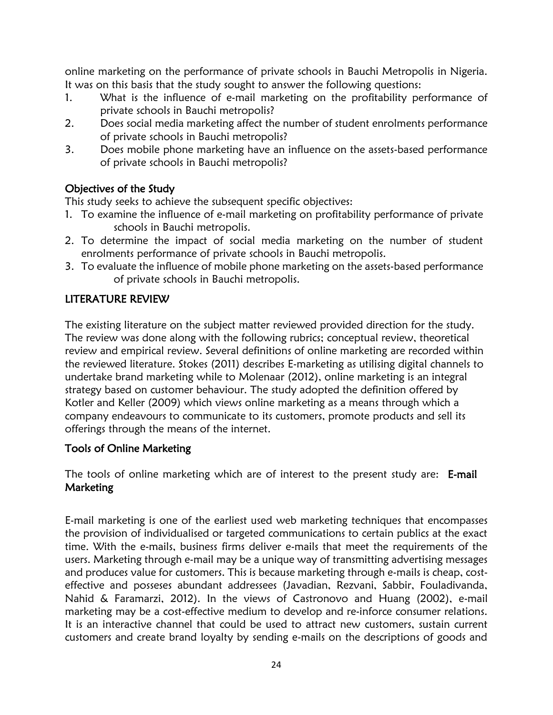online marketing on the performance of private schools in Bauchi Metropolis in Nigeria. It was on this basis that the study sought to answer the following questions:

- 1. What is the influence of e-mail marketing on the profitability performance of private schools in Bauchi metropolis?
- 2. Does social media marketing affect the number of student enrolments performance of private schools in Bauchi metropolis?
- 3. Does mobile phone marketing have an influence on the assets-based performance of private schools in Bauchi metropolis?

# Objectives of the Study

This study seeks to achieve the subsequent specific objectives:

- 1. To examine the influence of e-mail marketing on profitability performance of private schools in Bauchi metropolis.
- 2. To determine the impact of social media marketing on the number of student enrolments performance of private schools in Bauchi metropolis.
- 3. To evaluate the influence of mobile phone marketing on the assets-based performance of private schools in Bauchi metropolis.

# LITERATURE REVIEW

The existing literature on the subject matter reviewed provided direction for the study. The review was done along with the following rubrics; conceptual review, theoretical review and empirical review. Several definitions of online marketing are recorded within the reviewed literature. Stokes (2011) describes E-marketing as utilising digital channels to undertake brand marketing while to Molenaar (2012), online marketing is an integral strategy based on customer behaviour. The study adopted the definition offered by Kotler and Keller (2009) which views online marketing as a means through which a company endeavours to communicate to its customers, promote products and sell its offerings through the means of the internet.

# Tools of Online Marketing

The tools of online marketing which are of interest to the present study are: E-mail Marketing

E-mail marketing is one of the earliest used web marketing techniques that encompasses the provision of individualised or targeted communications to certain publics at the exact time. With the e-mails, business firms deliver e-mails that meet the requirements of the users. Marketing through e-mail may be a unique way of transmitting advertising messages and produces value for customers. This is because marketing through e-mails is cheap, costeffective and posseses abundant addressees (Javadian, Rezvani, Sabbir, Fouladivanda, Nahid & Faramarzi, 2012). In the views of Castronovo and Huang (2002), e-mail marketing may be a cost-effective medium to develop and re-inforce consumer relations. It is an interactive channel that could be used to attract new customers, sustain current customers and create brand loyalty by sending e-mails on the descriptions of goods and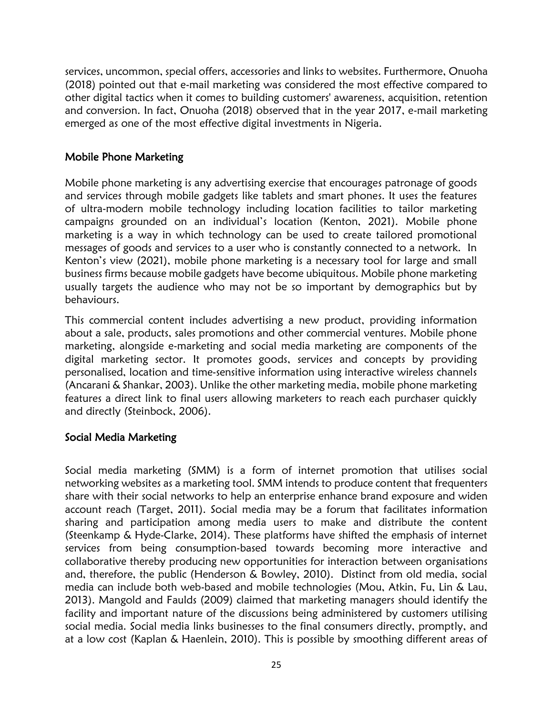services, uncommon, special offers, accessories and links to websites. Furthermore, Onuoha (2018) pointed out that e-mail marketing was considered the most effective compared to other digital tactics when it comes to building customers' awareness, acquisition, retention and conversion. In fact, Onuoha (2018) observed that in the year 2017, e-mail marketing emerged as one of the most effective digital investments in Nigeria.

# Mobile Phone Marketing

Mobile phone marketing is any advertising exercise that encourages patronage of goods and services through mobile gadgets like tablets and smart phones. It uses the features of ultra-modern mobile technology including location facilities to tailor marketing campaigns grounded on an individual's location (Kenton, 2021). Mobile phone marketing is a way in which technology can be used to create tailored promotional messages of goods and services to a user who is constantly connected to a network. In Kenton's view (2021), mobile phone marketing is a necessary tool for large and small business firms because mobile gadgets have become ubiquitous. Mobile phone marketing usually targets the audience who may not be so important by demographics but by behaviours.

This commercial content includes advertising a new product, providing information about a sale, products, sales promotions and other commercial ventures. Mobile phone marketing, alongside e-marketing and social media marketing are components of the digital marketing sector. It promotes goods, services and concepts by providing personalised, location and time-sensitive information using interactive wireless channels (Ancarani & Shankar, 2003). Unlike the other marketing media, mobile phone marketing features a direct link to final users allowing marketers to reach each purchaser quickly and directly (Steinbock, 2006).

#### Social Media Marketing

Social media marketing (SMM) is a form of internet promotion that utilises social networking websites as a marketing tool. SMM intends to produce content that frequenters share with their social networks to help an enterprise enhance brand exposure and widen account reach (Target, 2011). Social media may be a forum that facilitates information sharing and participation among media users to make and distribute the content (Steenkamp & Hyde-Clarke, 2014). These platforms have shifted the emphasis of internet services from being consumption-based towards becoming more interactive and collaborative thereby producing new opportunities for interaction between organisations and, therefore, the public (Henderson & Bowley, 2010). Distinct from old media, social media can include both web-based and mobile technologies (Mou, Atkin, Fu, Lin & Lau, 2013). Mangold and Faulds (2009) claimed that marketing managers should identify the facility and important nature of the discussions being administered by customers utilising social media. Social media links businesses to the final consumers directly, promptly, and at a low cost (Kaplan & Haenlein, 2010). This is possible by smoothing different areas of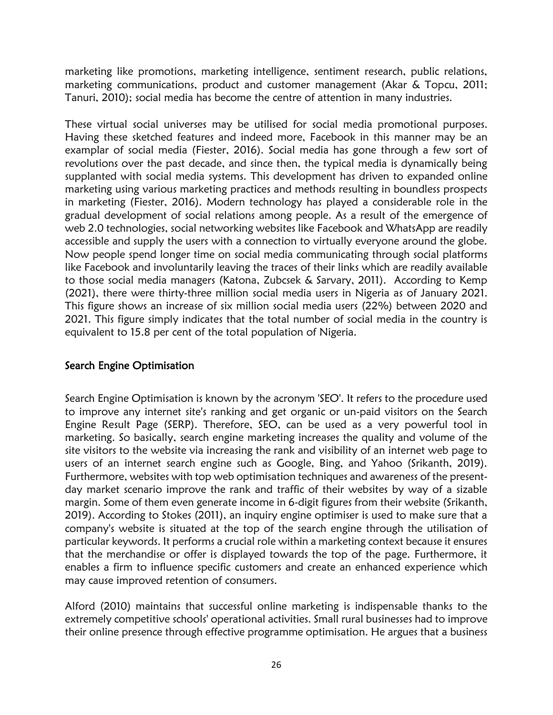marketing like promotions, marketing intelligence, sentiment research, public relations, marketing communications, product and customer management (Akar & Topcu, 2011; Tanuri, 2010); social media has become the centre of attention in many industries.

These virtual social universes may be utilised for social media promotional purposes. Having these sketched features and indeed more, Facebook in this manner may be an examplar of social media (Fiester, 2016). Social media has gone through a few sort of revolutions over the past decade, and since then, the typical media is dynamically being supplanted with social media systems. This development has driven to expanded online marketing using various marketing practices and methods resulting in boundless prospects in marketing (Fiester, 2016). Modern technology has played a considerable role in the gradual development of social relations among people. As a result of the emergence of web 2.0 technologies, social networking websites like Facebook and WhatsApp are readily accessible and supply the users with a connection to virtually everyone around the globe. Now people spend longer time on social media communicating through social platforms like Facebook and involuntarily leaving the traces of their links which are readily available to those social media managers (Katona, Zubcsek & Sarvary, 2011). According to Kemp (2021), there were thirty-three million social media users in Nigeria as of January 2021. This figure shows an increase of six million social media users (22%) between 2020 and 2021. This figure simply indicates that the total number of social media in the country is equivalent to 15.8 per cent of the total population of Nigeria.

# Search Engine Optimisation

Search Engine Optimisation is known by the acronym 'SEO'. It refers to the procedure used to improve any internet site's ranking and get organic or un-paid visitors on the Search Engine Result Page (SERP). Therefore, SEO, can be used as a very powerful tool in marketing. So basically, search engine marketing increases the quality and volume of the site visitors to the website via increasing the rank and visibility of an internet web page to users of an internet search engine such as Google, Bing, and Yahoo (Srikanth, 2019). Furthermore, websites with top web optimisation techniques and awareness of the presentday market scenario improve the rank and traffic of their websites by way of a sizable margin. Some of them even generate income in 6-digit figures from their website (Srikanth, 2019). According to Stokes (2011), an inquiry engine optimiser is used to make sure that a company's website is situated at the top of the search engine through the utilisation of particular keywords. It performs a crucial role within a marketing context because it ensures that the merchandise or offer is displayed towards the top of the page. Furthermore, it enables a firm to influence specific customers and create an enhanced experience which may cause improved retention of consumers.

Alford (2010) maintains that successful online marketing is indispensable thanks to the extremely competitive schools' operational activities. Small rural businesses had to improve their online presence through effective programme optimisation. He argues that a business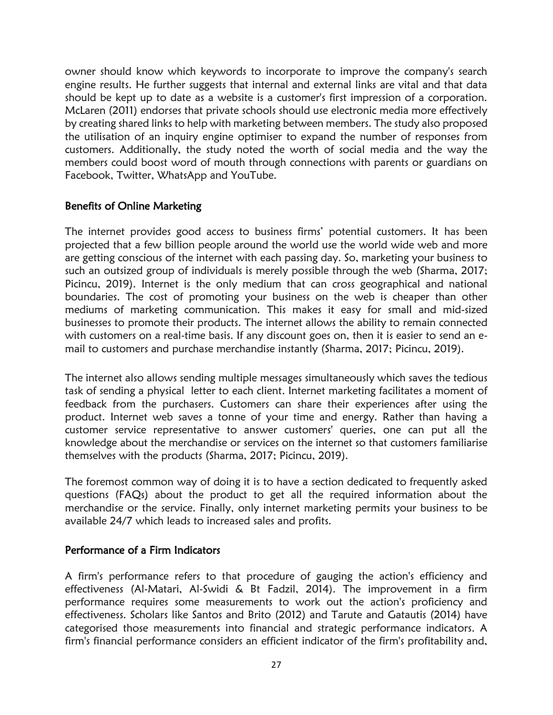owner should know which keywords to incorporate to improve the company's search engine results. He further suggests that internal and external links are vital and that data should be kept up to date as a website is a customer's first impression of a corporation. McLaren (2011) endorses that private schools should use electronic media more effectively by creating shared links to help with marketing between members. The study also proposed the utilisation of an inquiry engine optimiser to expand the number of responses from customers. Additionally, the study noted the worth of social media and the way the members could boost word of mouth through connections with parents or guardians on Facebook, Twitter, WhatsApp and YouTube.

# Benefits of Online Marketing

The internet provides good access to business firms' potential customers. It has been projected that a few billion people around the world use the world wide web and more are getting conscious of the internet with each passing day. So, marketing your business to such an outsized group of individuals is merely possible through the web (Sharma, 2017; Picincu, 2019). Internet is the only medium that can cross geographical and national boundaries. The cost of promoting your business on the web is cheaper than other mediums of marketing communication. This makes it easy for small and mid-sized businesses to promote their products. The internet allows the ability to remain connected with customers on a real-time basis. If any discount goes on, then it is easier to send an email to customers and purchase merchandise instantly (Sharma, 2017; Picincu, 2019).

The internet also allows sending multiple messages simultaneously which saves the tedious task of sending a physical letter to each client. Internet marketing facilitates a moment of feedback from the purchasers. Customers can share their experiences after using the product. Internet web saves a tonne of your time and energy. Rather than having a customer service representative to answer customers' queries, one can put all the knowledge about the merchandise or services on the internet so that customers familiarise themselves with the products (Sharma, 2017; Picincu, 2019).

The foremost common way of doing it is to have a section dedicated to frequently asked questions (FAQs) about the product to get all the required information about the merchandise or the service. Finally, only internet marketing permits your business to be available 24/7 which leads to increased sales and profits.

#### Performance of a Firm Indicators

A firm's performance refers to that procedure of gauging the action's efficiency and effectiveness (Al-Matari, Al-Swidi & Bt Fadzil, 2014). The improvement in a firm performance requires some measurements to work out the action's proficiency and effectiveness. Scholars like Santos and Brito (2012) and Tarute and Gatautis (2014) have categorised those measurements into financial and strategic performance indicators. A firm's financial performance considers an efficient indicator of the firm's profitability and,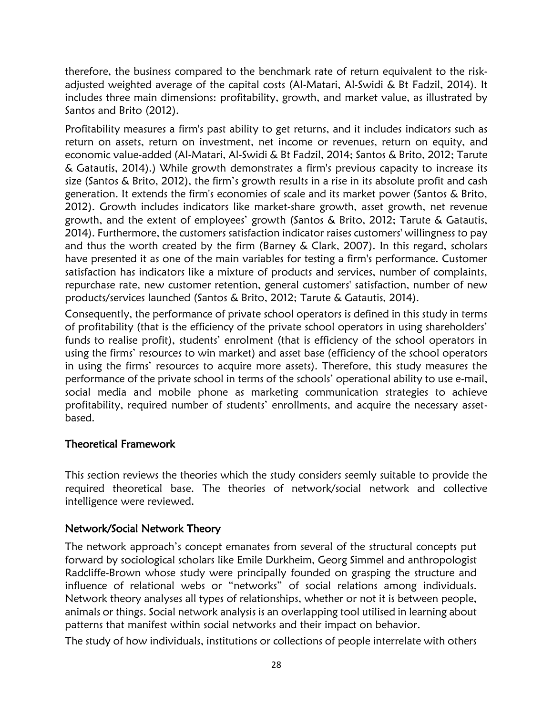therefore, the business compared to the benchmark rate of return equivalent to the riskadjusted weighted average of the capital costs (Al-Matari, Al-Swidi & Bt Fadzil, 2014). It includes three main dimensions: profitability, growth, and market value, as illustrated by Santos and Brito (2012).

Profitability measures a firm's past ability to get returns, and it includes indicators such as return on assets, return on investment, net income or revenues, return on equity, and economic value-added (Al-Matari, Al-Swidi & Bt Fadzil, 2014; Santos & Brito, 2012; Tarute & Gatautis, 2014).) While growth demonstrates a firm's previous capacity to increase its size (Santos & Brito, 2012), the firm's growth results in a rise in its absolute profit and cash generation. It extends the firm's economies of scale and its market power (Santos & Brito, 2012). Growth includes indicators like market-share growth, asset growth, net revenue growth, and the extent of employees' growth (Santos & Brito, 2012; Tarute & Gatautis, 2014). Furthermore, the customers satisfaction indicator raises customers' willingness to pay and thus the worth created by the firm (Barney & Clark, 2007). In this regard, scholars have presented it as one of the main variables for testing a firm's performance. Customer satisfaction has indicators like a mixture of products and services, number of complaints, repurchase rate, new customer retention, general customers' satisfaction, number of new products/services launched (Santos & Brito, 2012; Tarute & Gatautis, 2014).

Consequently, the performance of private school operators is defined in this study in terms of profitability (that is the efficiency of the private school operators in using shareholders' funds to realise profit), students' enrolment (that is efficiency of the school operators in using the firms' resources to win market) and asset base (efficiency of the school operators in using the firms' resources to acquire more assets). Therefore, this study measures the performance of the private school in terms of the schools' operational ability to use e-mail, social media and mobile phone as marketing communication strategies to achieve profitability, required number of students' enrollments, and acquire the necessary assetbased.

# Theoretical Framework

This section reviews the theories which the study considers seemly suitable to provide the required theoretical base. The theories of network/social network and collective intelligence were reviewed.

# Network/Social Network Theory

The network approach's concept emanates from several of the structural concepts put forward by sociological scholars like Emile Durkheim, Georg Simmel and anthropologist Radcliffe-Brown whose study were principally founded on grasping the structure and influence of relational webs or "networks" of social relations among individuals. Network theory analyses all types of relationships, whether or not it is between people, animals or things. Social network analysis is an overlapping tool utilised in learning about patterns that manifest within social networks and their impact on behavior.

The study of how individuals, institutions or collections of people interrelate with others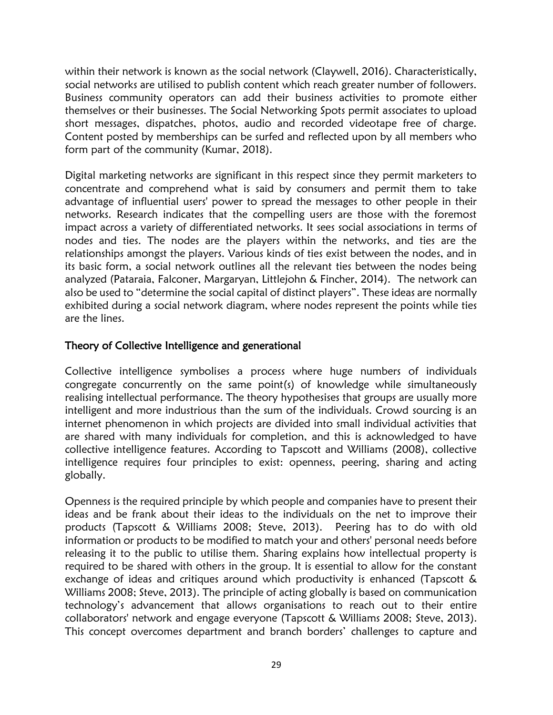within their network is known as the social network (Claywell, 2016). Characteristically, social networks are utilised to publish content which reach greater number of followers. Business community operators can add their business activities to promote either themselves or their businesses. The Social Networking Spots permit associates to upload short messages, dispatches, photos, audio and recorded videotape free of charge. Content posted by memberships can be surfed and reflected upon by all members who form part of the community (Kumar, 2018).

Digital marketing networks are significant in this respect since they permit marketers to concentrate and comprehend what is said by consumers and permit them to take advantage of influential users' power to spread the messages to other people in their networks. Research indicates that the compelling users are those with the foremost impact across a variety of differentiated networks. It sees social associations in terms of nodes and ties. The nodes are the players within the networks, and ties are the relationships amongst the players. Various kinds of ties exist between the nodes, and in its basic form, a social network outlines all the relevant ties between the nodes being analyzed (Pataraia, Falconer, Margaryan, Littlejohn & Fincher, 2014). The network can also be used to "determine the social capital of distinct players". These ideas are normally exhibited during a social network diagram, where nodes represent the points while ties are the lines.

## Theory of Collective Intelligence and generational

Collective intelligence symbolises a process where huge numbers of individuals congregate concurrently on the same point(s) of knowledge while simultaneously realising intellectual performance. The theory hypothesises that groups are usually more intelligent and more industrious than the sum of the individuals. Crowd sourcing is an internet phenomenon in which projects are divided into small individual activities that are shared with many individuals for completion, and this is acknowledged to have collective intelligence features. According to Tapscott and Williams (2008), collective intelligence requires four principles to exist: openness, peering, sharing and acting globally.

Openness is the required principle by which people and companies have to present their ideas and be frank about their ideas to the individuals on the net to improve their products (Tapscott & Williams 2008; Steve, 2013). Peering has to do with old information or products to be modified to match your and others' personal needs before releasing it to the public to utilise them. Sharing explains how intellectual property is required to be shared with others in the group. It is essential to allow for the constant exchange of ideas and critiques around which productivity is enhanced (Tapscott & Williams 2008; Steve, 2013). The principle of acting globally is based on communication technology's advancement that allows organisations to reach out to their entire collaborators' network and engage everyone (Tapscott & Williams 2008; Steve, 2013). This concept overcomes department and branch borders' challenges to capture and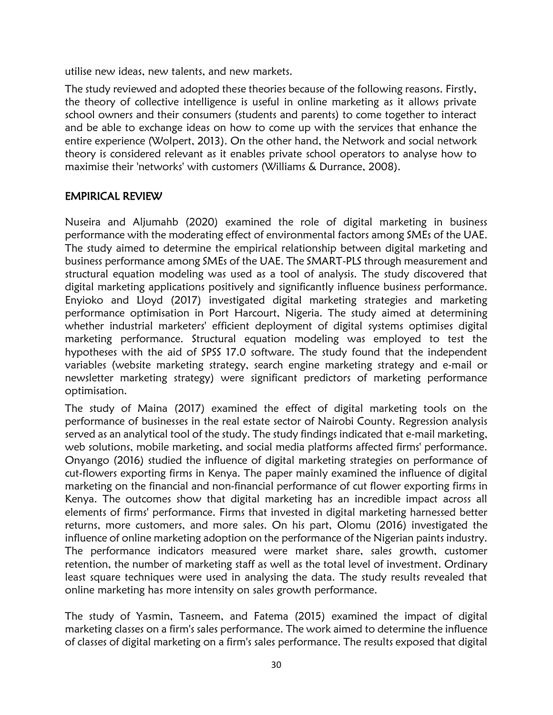utilise new ideas, new talents, and new markets.

The study reviewed and adopted these theories because of the following reasons. Firstly, the theory of collective intelligence is useful in online marketing as it allows private school owners and their consumers (students and parents) to come together to interact and be able to exchange ideas on how to come up with the services that enhance the entire experience (Wolpert, 2013). On the other hand, the Network and social network theory is considered relevant as it enables private school operators to analyse how to maximise their 'networks' with customers (Williams & Durrance, 2008).

# EMPIRICAL REVIEW

Nuseira and Aljumahb (2020) examined the role of digital marketing in business performance with the moderating effect of environmental factors among SMEs of the UAE. The study aimed to determine the empirical relationship between digital marketing and business performance among SMEs of the UAE. The SMART-PLS through measurement and structural equation modeling was used as a tool of analysis. The study discovered that digital marketing applications positively and significantly influence business performance. Enyioko and Lloyd (2017) investigated digital marketing strategies and marketing performance optimisation in Port Harcourt, Nigeria. The study aimed at determining whether industrial marketers' efficient deployment of digital systems optimises digital marketing performance. Structural equation modeling was employed to test the hypotheses with the aid of SPSS 17.0 software. The study found that the independent variables (website marketing strategy, search engine marketing strategy and e-mail or newsletter marketing strategy) were significant predictors of marketing performance optimisation.

The study of Maina (2017) examined the effect of digital marketing tools on the performance of businesses in the real estate sector of Nairobi County. Regression analysis served as an analytical tool of the study. The study findings indicated that e-mail marketing, web solutions, mobile marketing, and social media platforms affected firms' performance. Onyango (2016) studied the influence of digital marketing strategies on performance of cut-flowers exporting firms in Kenya. The paper mainly examined the influence of digital marketing on the financial and non-financial performance of cut flower exporting firms in Kenya. The outcomes show that digital marketing has an incredible impact across all elements of firms' performance. Firms that invested in digital marketing harnessed better returns, more customers, and more sales. On his part, Olomu (2016) investigated the influence of online marketing adoption on the performance of the Nigerian paints industry. The performance indicators measured were market share, sales growth, customer retention, the number of marketing staff as well as the total level of investment. Ordinary least square techniques were used in analysing the data. The study results revealed that online marketing has more intensity on sales growth performance.

The study of Yasmin, Tasneem, and Fatema (2015) examined the impact of digital marketing classes on a firm's sales performance. The work aimed to determine the influence of classes of digital marketing on a firm's sales performance. The results exposed that digital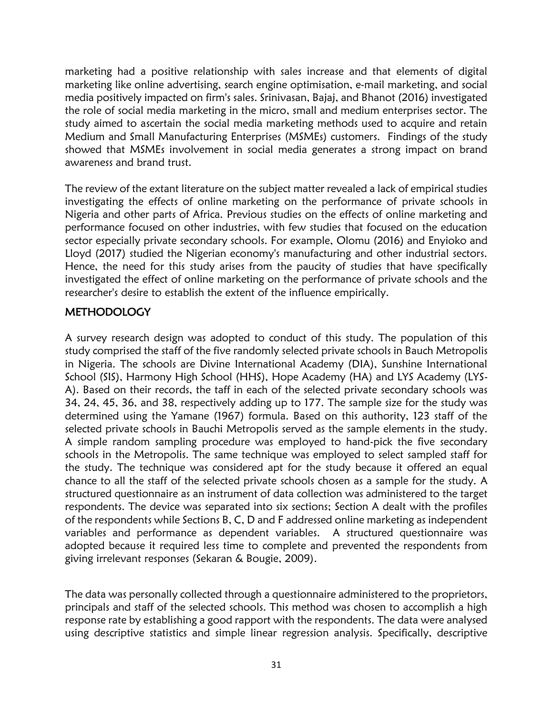marketing had a positive relationship with sales increase and that elements of digital marketing like online advertising, search engine optimisation, e-mail marketing, and social media positively impacted on firm's sales. Srinivasan, Bajaj, and Bhanot (2016) investigated the role of social media marketing in the micro, small and medium enterprises sector. The study aimed to ascertain the social media marketing methods used to acquire and retain Medium and Small Manufacturing Enterprises (MSMEs) customers. Findings of the study showed that MSMEs involvement in social media generates a strong impact on brand awareness and brand trust.

The review of the extant literature on the subject matter revealed a lack of empirical studies investigating the effects of online marketing on the performance of private schools in Nigeria and other parts of Africa. Previous studies on the effects of online marketing and performance focused on other industries, with few studies that focused on the education sector especially private secondary schools. For example, Olomu (2016) and Enyioko and Lloyd (2017) studied the Nigerian economy's manufacturing and other industrial sectors. Hence, the need for this study arises from the paucity of studies that have specifically investigated the effect of online marketing on the performance of private schools and the researcher's desire to establish the extent of the influence empirically.

# **METHODOLOGY**

A survey research design was adopted to conduct of this study. The population of this study comprised the staff of the five randomly selected private schools in Bauch Metropolis in Nigeria. The schools are Divine International Academy (DIA), Sunshine International School (SIS), Harmony High School (HHS), Hope Academy (HA) and LYS Academy (LYS-A). Based on their records, the taff in each of the selected private secondary schools was 34, 24, 45, 36, and 38, respectively adding up to 177. The sample size for the study was determined using the Yamane (1967) formula. Based on this authority, 123 staff of the selected private schools in Bauchi Metropolis served as the sample elements in the study. A simple random sampling procedure was employed to hand-pick the five secondary schools in the Metropolis. The same technique was employed to select sampled staff for the study. The technique was considered apt for the study because it offered an equal chance to all the staff of the selected private schools chosen as a sample for the study. A structured questionnaire as an instrument of data collection was administered to the target respondents. The device was separated into six sections; Section A dealt with the profiles of the respondents while Sections B, C, D and F addressed online marketing as independent variables and performance as dependent variables. A structured questionnaire was adopted because it required less time to complete and prevented the respondents from giving irrelevant responses (Sekaran & Bougie, 2009).

The data was personally collected through a questionnaire administered to the proprietors, principals and staff of the selected schools. This method was chosen to accomplish a high response rate by establishing a good rapport with the respondents. The data were analysed using descriptive statistics and simple linear regression analysis. Specifically, descriptive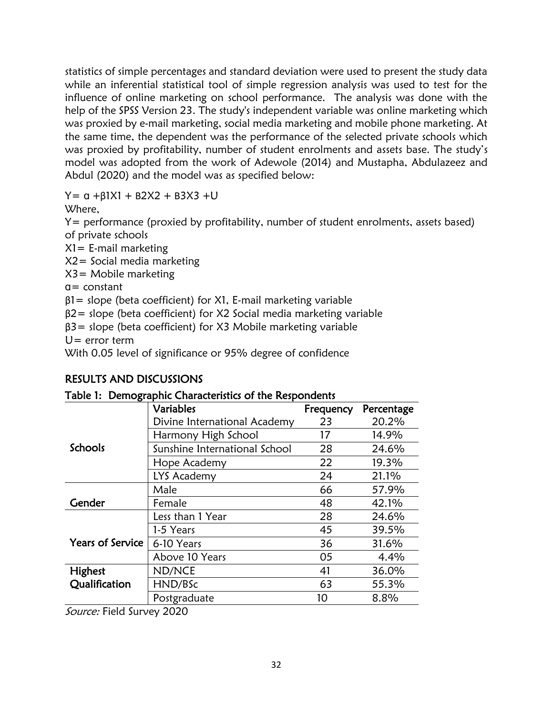statistics of simple percentages and standard deviation were used to present the study data while an inferential statistical tool of simple regression analysis was used to test for the influence of online marketing on school performance. The analysis was done with the help of the SPSS Version 23. The study's independent variable was online marketing which was proxied by e-mail marketing, social media marketing and mobile phone marketing. At the same time, the dependent was the performance of the selected private schools which was proxied by profitability, number of student enrolments and assets base. The study's model was adopted from the work of Adewole (2014) and Mustapha, Abdulazeez and Abdul (2020) and the model was as specified below:

 $Y= α + β1X1 + B2X2 + B3X3 + U$ 

Where,

Y= performance (proxied by profitability, number of student enrolments, assets based) of private schools

X1= E-mail marketing

X2= Social media marketing

X3= Mobile marketing

 $a = constant$ 

 $β1 = slope (beta coefficient)$  for X1, E-mail marketing variable

β2= slope (beta coefficient) for X2 Social media marketing variable

β3= slope (beta coefficient) for X3 Mobile marketing variable

 $U=$  error term

With 0.05 level of significance or 95% degree of confidence

# RESULTS AND DISCUSSIONS

|  | Table 1: Demographic Characteristics of the Respondents |  |  |  |
|--|---------------------------------------------------------|--|--|--|
|--|---------------------------------------------------------|--|--|--|

|                         | <b>Variables</b>              | Frequency | Percentage |
|-------------------------|-------------------------------|-----------|------------|
|                         | Divine International Academy  | 23        | 20.2%      |
|                         | Harmony High School           | 17        | 14.9%      |
| <b>Schools</b>          | Sunshine International School | 28        | 24.6%      |
|                         | Hope Academy                  | 22        | 19.3%      |
|                         | LYS Academy                   | 24        | 21.1%      |
|                         | Male                          | 66        | 57.9%      |
| Gender                  | Female                        | 48        | 42.1%      |
|                         | Less than 1 Year              | 28        | 24.6%      |
|                         | 1-5 Years                     | 45        | 39.5%      |
| <b>Years of Service</b> | 6-10 Years                    | 36        | 31.6%      |
|                         | Above 10 Years                | 05        | 4.4%       |
| Highest                 | ND/NCE                        | 41        | 36.0%      |
| Qualification           | HND/BSc                       | 63        | 55.3%      |
|                         | Postgraduate                  | 10        | 8.8%       |

Source: Field Survey 2020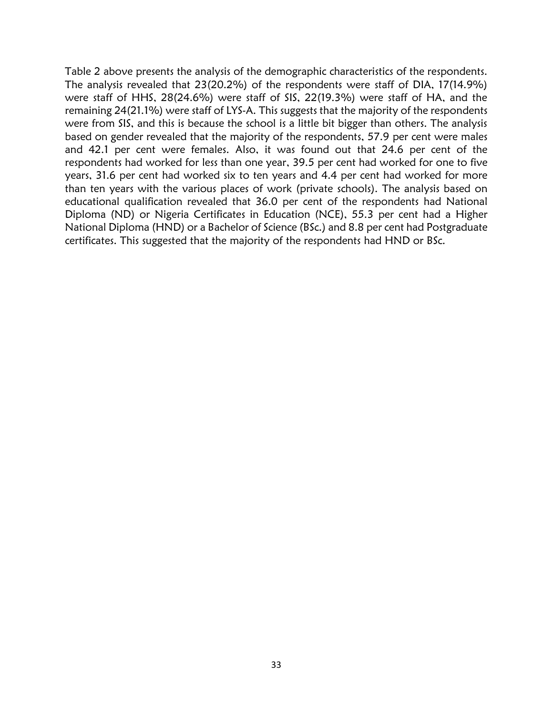Table 2 above presents the analysis of the demographic characteristics of the respondents. The analysis revealed that 23(20.2%) of the respondents were staff of DIA, 17(14.9%) were staff of HHS, 28(24.6%) were staff of SIS, 22(19.3%) were staff of HA, and the remaining 24(21.1%) were staff of LYS-A. This suggests that the majority of the respondents were from SIS, and this is because the school is a little bit bigger than others. The analysis based on gender revealed that the majority of the respondents, 57.9 per cent were males and 42.1 per cent were females. Also, it was found out that 24.6 per cent of the respondents had worked for less than one year, 39.5 per cent had worked for one to five years, 31.6 per cent had worked six to ten years and 4.4 per cent had worked for more than ten years with the various places of work (private schools). The analysis based on educational qualification revealed that 36.0 per cent of the respondents had National Diploma (ND) or Nigeria Certificates in Education (NCE), 55.3 per cent had a Higher National Diploma (HND) or a Bachelor of Science (BSc.) and 8.8 per cent had Postgraduate certificates. This suggested that the majority of the respondents had HND or BSc.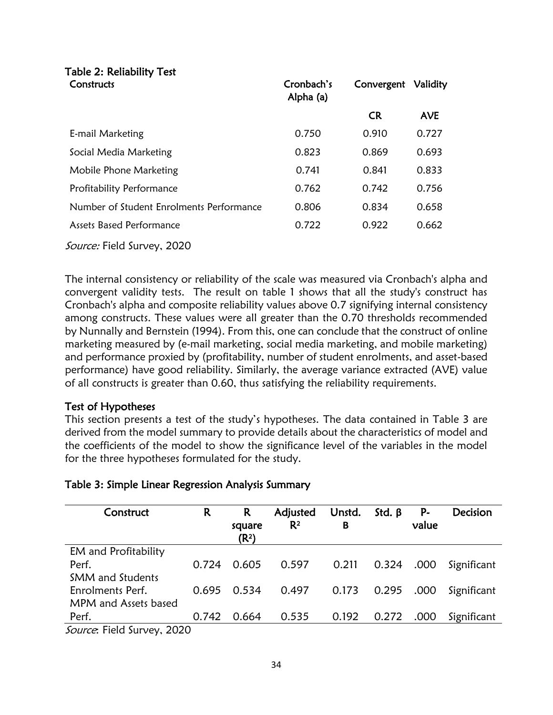# Table 2: Reliability Test

| Constructs                               | Cronbach's<br>Alpha (a) | Convergent | Validity   |
|------------------------------------------|-------------------------|------------|------------|
|                                          |                         | <b>CR</b>  | <b>AVE</b> |
| E-mail Marketing                         | 0.750                   | 0.910      | 0.727      |
| Social Media Marketing                   | 0.823                   | 0.869      | 0.693      |
| Mobile Phone Marketing                   | 0.741                   | 0.841      | 0.833      |
| Profitability Performance                | 0.762                   | 0.742      | 0.756      |
| Number of Student Enrolments Performance | 0.806                   | 0.834      | 0.658      |
| Assets Based Performance                 | 0.722                   | 0.922      | 0.662      |
| <i>Source:</i> Field Survey, 2020        |                         |            |            |

The internal consistency or reliability of the scale was measured via Cronbach's alpha and convergent validity tests. The result on table 1 shows that all the study's construct has Cronbach's alpha and composite reliability values above 0.7 signifying internal consistency among constructs. These values were all greater than the 0.70 thresholds recommended by Nunnally and Bernstein (1994). From this, one can conclude that the construct of online marketing measured by (e-mail marketing, social media marketing, and mobile marketing) and performance proxied by (profitability, number of student enrolments, and asset-based performance) have good reliability. Similarly, the average variance extracted (AVE) value of all constructs is greater than 0.60, thus satisfying the reliability requirements.

# Test of Hypotheses

This section presents a test of the study's hypotheses. The data contained in Table 3 are derived from the model summary to provide details about the characteristics of model and the coefficients of the model to show the significance level of the variables in the model for the three hypotheses formulated for the study.

| Construct                                                                                                                                                                                                                   | R     | R<br>square<br>(R <sup>2</sup> ) | Adjusted<br>$R^2$ | Unstd.<br>в | Std. $\beta$ | P-<br>value | <b>Decision</b> |
|-----------------------------------------------------------------------------------------------------------------------------------------------------------------------------------------------------------------------------|-------|----------------------------------|-------------------|-------------|--------------|-------------|-----------------|
| EM and Profitability                                                                                                                                                                                                        |       |                                  |                   |             |              |             |                 |
| Perf.                                                                                                                                                                                                                       | 0.724 | 0.605                            | 0.597             | 0.211       | 0.324        | .000        | Significant     |
| <b>SMM</b> and Students                                                                                                                                                                                                     |       |                                  |                   |             |              |             |                 |
| Enrolments Perf.                                                                                                                                                                                                            | 0.695 | 0.534                            | 0.497             | 0.173       | 0.295        | .000        | Significant     |
| MPM and Assets based                                                                                                                                                                                                        |       |                                  |                   |             |              |             |                 |
| Perf.                                                                                                                                                                                                                       | 0.742 | 0.664                            | 0.535             | 0.192       | 0.272        | .000        | Significant     |
| $C_2$ (1) $C_3$ (1) $C_4$ (1) $C_5$ (1) $C_6$ (1) $C_7$ (1) $C_8$ (1) $C_7$ (1) $C_8$ (1) $C_9$ (1) $C_9$ (1) $C_9$ (1) $C_9$ (1) $C_9$ (1) $C_9$ (1) $C_9$ (1) $C_9$ (1) $C_9$ (1) $C_9$ (1) $C_9$ (1) $C_9$ (1) $C_9$ (1) |       |                                  |                   |             |              |             |                 |

Source: Field Survey, 2020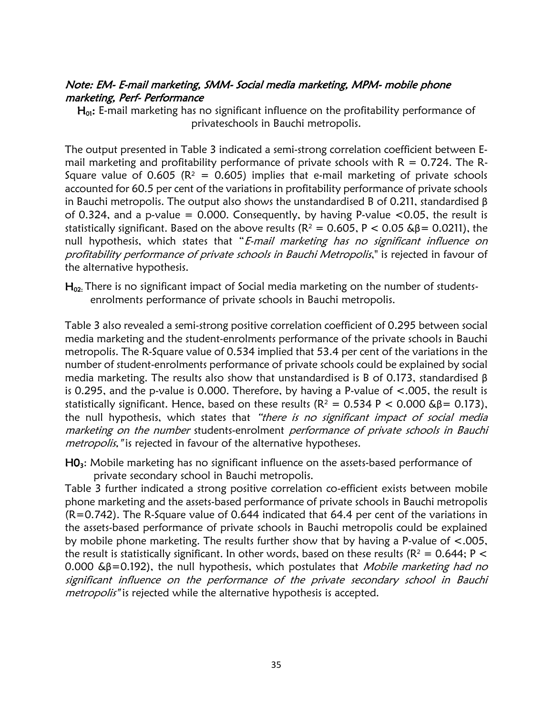## Note: EM- E-mail marketing, SMM- Social media marketing, MPM- mobile phone marketing, Perf- Performance

 $H<sub>01</sub>$ : E-mail marketing has no significant influence on the profitability performance of privateschools in Bauchi metropolis.

The output presented in Table 3 indicated a semi-strong correlation coefficient between Email marketing and profitability performance of private schools with  $R = 0.724$ . The R-Square value of 0.605 ( $R^2 = 0.605$ ) implies that e-mail marketing of private schools accounted for 60.5 per cent of the variations in profitability performance of private schools in Bauchi metropolis. The output also shows the unstandardised B of 0.211, standardised  $\beta$ of 0.324, and a p-value = 0.000. Consequently, by having P-value  $\leq$ 0.05, the result is statistically significant. Based on the above results ( $R^2 = 0.605$ ,  $P < 0.05$  & $\beta = 0.0211$ ), the null hypothesis, which states that "E-mail marketing has no significant influence on profitability performance of private schools in Bauchi Metropolis," is rejected in favour of the alternative hypothesis.

 $H_{02}$ . There is no significant impact of Social media marketing on the number of studentsenrolments performance of private schools in Bauchi metropolis.

Table 3 also revealed a semi-strong positive correlation coefficient of 0.295 between social media marketing and the student-enrolments performance of the private schools in Bauchi metropolis. The R-Square value of 0.534 implied that 53.4 per cent of the variations in the number of student-enrolments performance of private schools could be explained by social media marketing. The results also show that unstandardised is B of 0.173, standardised β is 0.295, and the p-value is 0.000. Therefore, by having a P-value of <.005, the result is statistically significant. Hence, based on these results ( $R^2 = 0.534$  P < 0.000 &  $\beta = 0.173$ ), the null hypothesis, which states that "there is no significant impact of social media marketing on the number students-enrolment performance of private schools in Bauchi metropolis, "is rejected in favour of the alternative hypotheses.

 $HO<sub>3</sub>$ : Mobile marketing has no significant influence on the assets-based performance of private secondary school in Bauchi metropolis.

Table 3 further indicated a strong positive correlation co-efficient exists between mobile phone marketing and the assets-based performance of private schools in Bauchi metropolis (R=0.742). The R-Square value of 0.644 indicated that 64.4 per cent of the variations in the assets-based performance of private schools in Bauchi metropolis could be explained by mobile phone marketing. The results further show that by having a P-value of <.005, the result is statistically significant. In other words, based on these results ( $R^2 = 0.644$ ;  $P <$ 0.000  $\&\beta$ =0.192), the null hypothesis, which postulates that *Mobile marketing had no* significant influence on the performance of the private secondary school in Bauchi metropolis" is rejected while the alternative hypothesis is accepted.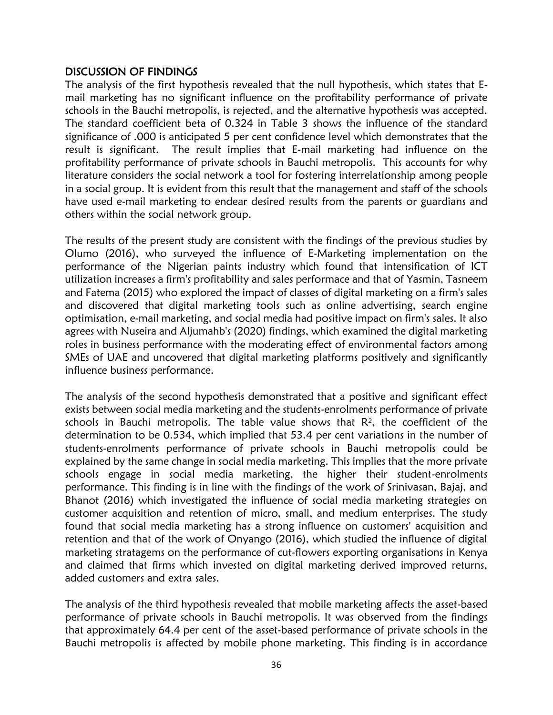## DISCUSSION OF FINDINGS

The analysis of the first hypothesis revealed that the null hypothesis, which states that Email marketing has no significant influence on the profitability performance of private schools in the Bauchi metropolis, is rejected, and the alternative hypothesis was accepted. The standard coefficient beta of 0.324 in Table 3 shows the influence of the standard significance of .000 is anticipated 5 per cent confidence level which demonstrates that the result is significant. The result implies that E-mail marketing had influence on the profitability performance of private schools in Bauchi metropolis. This accounts for why literature considers the social network a tool for fostering interrelationship among people in a social group. It is evident from this result that the management and staff of the schools have used e-mail marketing to endear desired results from the parents or guardians and others within the social network group.

The results of the present study are consistent with the findings of the previous studies by Olumo (2016), who surveyed the influence of E-Marketing implementation on the performance of the Nigerian paints industry which found that intensification of ICT utilization increases a firm's profitability and sales performace and that of Yasmin, Tasneem and Fatema (2015) who explored the impact of classes of digital marketing on a firm's sales and discovered that digital marketing tools such as online advertising, search engine optimisation, e-mail marketing, and social media had positive impact on firm's sales. It also agrees with Nuseira and Aljumahb's (2020) findings, which examined the digital marketing roles in business performance with the moderating effect of environmental factors among SMEs of UAE and uncovered that digital marketing platforms positively and significantly influence business performance.

The analysis of the second hypothesis demonstrated that a positive and significant effect exists between social media marketing and the students-enrolments performance of private  $s$ chools in Bauchi metropolis. The table value shows that  $R<sup>2</sup>$ , the coefficient of the determination to be 0.534, which implied that 53.4 per cent variations in the number of students-enrolments performance of private schools in Bauchi metropolis could be explained by the same change in social media marketing. This implies that the more private schools engage in social media marketing, the higher their student-enrolments performance. This finding is in line with the findings of the work of Srinivasan, Bajaj, and Bhanot (2016) which investigated the influence of social media marketing strategies on customer acquisition and retention of micro, small, and medium enterprises. The study found that social media marketing has a strong influence on customers' acquisition and retention and that of the work of Onyango (2016), which studied the influence of digital marketing stratagems on the performance of cut-flowers exporting organisations in Kenya and claimed that firms which invested on digital marketing derived improved returns, added customers and extra sales.

The analysis of the third hypothesis revealed that mobile marketing affects the asset-based performance of private schools in Bauchi metropolis. It was observed from the findings that approximately 64.4 per cent of the asset-based performance of private schools in the Bauchi metropolis is affected by mobile phone marketing. This finding is in accordance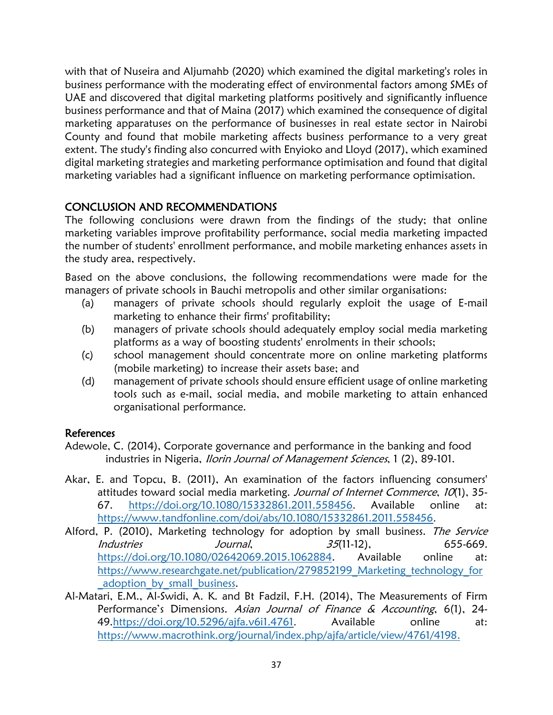with that of Nuseira and Aljumahb (2020) which examined the digital marketing's roles in business performance with the moderating effect of environmental factors among SMEs of UAE and discovered that digital marketing platforms positively and significantly influence business performance and that of Maina (2017) which examined the consequence of digital marketing apparatuses on the performance of businesses in real estate sector in Nairobi County and found that mobile marketing affects business performance to a very great extent. The study's finding also concurred with Enyioko and Lloyd (2017), which examined digital marketing strategies and marketing performance optimisation and found that digital marketing variables had a significant influence on marketing performance optimisation.

# CONCLUSION AND RECOMMENDATIONS

The following conclusions were drawn from the findings of the study; that online marketing variables improve profitability performance, social media marketing impacted the number of students' enrollment performance, and mobile marketing enhances assets in the study area, respectively.

Based on the above conclusions, the following recommendations were made for the managers of private schools in Bauchi metropolis and other similar organisations:

- (a) managers of private schools should regularly exploit the usage of E-mail marketing to enhance their firms' profitability;
- (b) managers of private schools should adequately employ social media marketing platforms as a way of boosting students' enrolments in their schools;
- (c) school management should concentrate more on online marketing platforms (mobile marketing) to increase their assets base; and
- (d) management of private schools should ensure efficient usage of online marketing tools such as e-mail, social media, and mobile marketing to attain enhanced organisational performance.

#### References

- Adewole, C. (2014), Corporate governance and performance in the banking and food industries in Nigeria, *Ilorin Journal of Management Sciences*, 1 (2), 89-101.
- Akar, E. and Topcu, B. (2011), An examination of the factors influencing consumers' attitudes toward social media marketing. Journal of Internet Commerce, 10(1), 35-67. <https://doi.org/10.1080/15332861.2011.558456>. Available online at: <https://www.tandfonline.com/doi/abs/10.1080/15332861.2011.558456>.
- Alford, P. (2010), Marketing technology for adoption by small business. The Service Industries Journal, 35(11-12), 655-669. [https://doi.org/10.1080/02642069.2015.1062884.](https://doi.org/10.1080/02642069.2015.1062884) Available online at: https://www.researchgate.net/publication/279852199 Marketing technology for adoption by small business.
- Al-Matari, E.M., Al-Swidi, A. K. and Bt Fadzil, F.H. (2014), The Measurements of Firm Performance's Dimensions. Asian Journal of Finance & Accounting, 6(1), 24-49[.https://doi.org/10.5296/ajfa.v6i1.4761](https://doi.org/10.5296/ajfa.v6i1.4761). Available online at: [https://www.macrothink.org/journal/index.php/ajfa/article/view/4761/4198.](https://www.macrothink.org/journal/index.php/ajfa/article/view/4761/4198)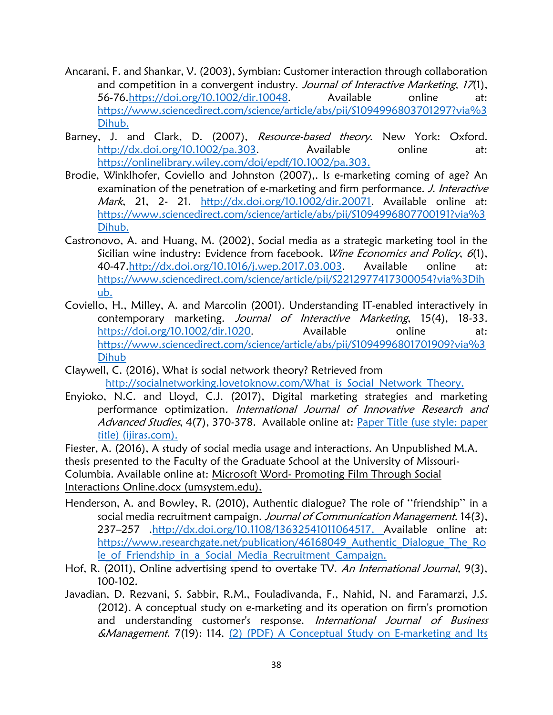- Ancarani, F. and Shankar, V. (2003), Symbian: Customer interaction through collaboration and competition in a convergent industry. Journal of Interactive Marketing, 17(1), 56-76[.https://doi.org/10.1002/dir.10048](https://doi.org/10.1002/dir.10048). Available online at: [https://www.sciencedirect.com/science/article/abs/pii/S1094996803701297?via%3](https://www.sciencedirect.com/science/article/abs/pii/S1094996803701297?via%3Dihub) [Dihub.](https://www.sciencedirect.com/science/article/abs/pii/S1094996803701297?via%3Dihub)
- Barney, J. and Clark, D. (2007), Resource-based theory. New York: Oxford. <http://dx.doi.org/10.1002/pa.303>. Available online at: [https://onlinelibrary.wiley.com/doi/epdf/10.1002/pa.303.](https://onlinelibrary.wiley.com/doi/epdf/10.1002/pa.303)
- Brodie, Winklhofer, Coviello and Johnston (2007),. Is e-marketing coming of age? An examination of the penetration of e-marketing and firm performance. J. Interactive Mark, 21, 2- 21. <http://dx.doi.org/10.1002/dir.20071>. Available online at: [https://www.sciencedirect.com/science/article/abs/pii/S1094996807700191?via%3](https://www.sciencedirect.com/science/article/abs/pii/S1094996807700191?via%3Dihub) [Dihub.](https://www.sciencedirect.com/science/article/abs/pii/S1094996807700191?via%3Dihub)
- Castronovo, A. and Huang, M. (2002), Social media as a strategic marketing tool in the Sicilian wine industry: Evidence from facebook. Wine Economics and Policy, 6(1), 40-47[.http://dx.doi.org/10.1016/j.wep.2017.03.003](http://dx.doi.org/10.1016/j.wep.2017.03.003). Available online at: [https://www.sciencedirect.com/science/article/pii/S2212977417300054?via%3Dih](https://www.sciencedirect.com/science/article/pii/S2212977417300054?via%3Dihub) [ub.](https://www.sciencedirect.com/science/article/pii/S2212977417300054?via%3Dihub)
- Coviello, H., Milley, A. and Marcolin (2001). Understanding IT-enabled interactively in contemporary marketing. Journal of Interactive Marketing, 15(4), 18-33. <https://doi.org/10.1002/dir.1020>. Available online at: [https://www.sciencedirect.com/science/article/abs/pii/S1094996801701909?via%3](https://www.sciencedirect.com/science/article/abs/pii/S1094996801701909?via%3Dihub) [Dihub](https://www.sciencedirect.com/science/article/abs/pii/S1094996801701909?via%3Dihub)
- Claywell, C. (2016), What is social network theory? Retrieved from [http://socialnetworking.lovetoknow.com/What\\_is\\_Social\\_Network\\_Theory.](http://socialnetworking.lovetoknow.com/What_is_Social_Network_Theory)
- Enyioko, N.C. and Lloyd, C.J. (2017), Digital marketing strategies and marketing performance optimization. International Journal of Innovative Research and Advanced Studies, 4(7), 370-378. Available online at: Paper Title (use style: paper [title\) \(ijiras.com\).](http://www.ijiras.com/2017/Vol_4-Issue_7/paper_73.pdf)

Fiester, A. (2016), A study of social media usage and interactions. An Unpublished M.A. thesis presented to the Faculty of the Graduate School at the University of Missouri-Columbia. Available online at: Microsoft Word- Promoting Film Through Social Interactions Online.docx (umsystem.edu).

- Henderson, A. and Bowley, R. (2010), Authentic dialogue? The role of ''friendship'' in a social media recruitment campaign. Journal of Communication Management. 14(3). 237–257 [.http://dx.doi.org/10.1108/13632541011064517.](http://dx.doi.org/10.1108/13632541011064517) Available online at: https://www.researchgate.net/publication/46168049 Authentic Dialogue The Ro le of Friendship in a Social Media Recruitment Campaign.
- Hof, R. (2011), Online advertising spend to overtake TV. An International Journal, 9(3), 100-102.
- Javadian, D. Rezvani, S. Sabbir, R.M., Fouladivanda, F., Nahid, N. and Faramarzi, J.S. (2012). A conceptual study on e-marketing and its operation on firm's promotion and understanding customer's response. International Journal of Business &Management. 7(19): 114. [\(2\) \(PDF\) A Conceptual Study on E-marketing and Its](https://www.researchgate.net/publication/314822124_A_Conceptual_Study_on_E-marketing_and_Its_Operation_on_Firm)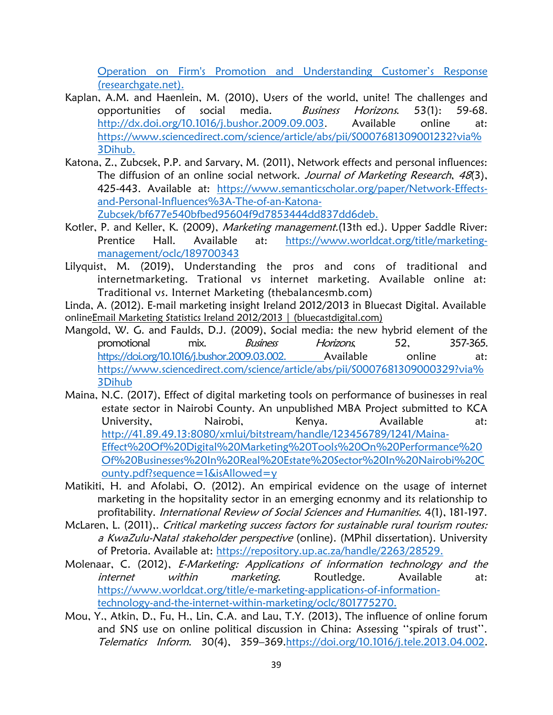[Operation on Firm's Promotion and Understand](https://www.researchgate.net/publication/314822124_A_Conceptual_Study_on_E-marketing_and_Its_Operation_on_Firm)ing Customer's Response [\(researchgate.net\).](https://www.researchgate.net/publication/314822124_A_Conceptual_Study_on_E-marketing_and_Its_Operation_on_Firm)

- Kaplan, A.M. and Haenlein, M. (2010), Users of the world, unite! The challenges and opportunities of social media. Business Horizons. 53(1): 59-68. <http://dx.doi.org/10.1016/j.bushor.2009.09.003>. Available online at: [https://www.sciencedirect.com/science/article/abs/pii/S0007681309001232?via%](https://www.sciencedirect.com/science/article/abs/pii/S0007681309001232?via%3Dihub) [3Dihub.](https://www.sciencedirect.com/science/article/abs/pii/S0007681309001232?via%3Dihub)
- Katona, Z., Zubcsek, P.P. and Sarvary, M. (2011), Network effects and personal influences: The diffusion of an online social network. Journal of Marketing Research, 48(3), 425-443. Available at: [https://www.semanticscholar.org/paper/Network-Effects](https://www.semanticscholar.org/paper/Network-Effects-and-Personal-Influences%3A-The-of-an-Katona-Zubcsek/bf677e540bfbed95604f9d7853444dd837dd6deb)[and-Personal-Influences%3A-The-of-an-Katona-](https://www.semanticscholar.org/paper/Network-Effects-and-Personal-Influences%3A-The-of-an-Katona-Zubcsek/bf677e540bfbed95604f9d7853444dd837dd6deb)[Zubcsek/bf677e540bfbed95604f9d7853444dd837dd6deb.](https://www.semanticscholar.org/paper/Network-Effects-and-Personal-Influences%3A-The-of-an-Katona-Zubcsek/bf677e540bfbed95604f9d7853444dd837dd6deb)
- Kotler, P. and Keller, K. (2009), Marketing management. (13th ed.). Upper Saddle River: Prentice Hall. Available at: [https://www.worldcat.org/title/marketing](https://www.worldcat.org/title/marketing-management/oclc/189700343)[management/oclc/189700343](https://www.worldcat.org/title/marketing-management/oclc/189700343)
- Lilyquist, M. (2019), Understanding the pros and cons of traditional and internetmarketing. Trational vs internet marketing. Available online at: Traditional vs. Internet Marketing (thebalancesmb.com)

Linda, A. (2012). E-mail marketing insight Ireland 2012/2013 in Bluecast Digital. Available onlin[eEmail Marketing Statistics Ireland 2012/2013 | \(bluecastdigital.com\)](https://bluecastdigital.com/email-marketing/email-marketing-statistics-ireland-2012)

- Mangold, W. G. and Faulds, D.J. (2009), Social media: the new hybrid element of the promotional mix. *Business Horizons*, 52, 357-365. [https://doi.org/10.1016/j.bushor.2009.03.002.](https://doi.org/10.1016/j.bushor.2009.03.002) Available online at: [https://www.sciencedirect.com/science/article/abs/pii/S0007681309000329?via%](https://www.sciencedirect.com/science/article/abs/pii/S0007681309000329?via%3Dihub) [3Dihub](https://www.sciencedirect.com/science/article/abs/pii/S0007681309000329?via%3Dihub)
- Maina, N.C. (2017), Effect of digital marketing tools on performance of businesses in real estate sector in Nairobi County. An unpublished MBA Project submitted to KCA University, Nairobi, Kenya. Available at: [http://41.89.49.13:8080/xmlui/bitstream/handle/123456789/1241/Maina-](http://41.89.49.13:8080/xmlui/bitstream/handle/123456789/1241/Maina-Effect%20Of%20Digital%20Marketing%20Tools%20On%20Performance%20Of%20Businesses%20In%20Real%20Estate%20Sector%20In%20Nairobi%20County.pdf?sequence=1&isAllowed=y)[Effect%20Of%20Digital%20Marketing%20Tools%20On%20Performance%20](http://41.89.49.13:8080/xmlui/bitstream/handle/123456789/1241/Maina-Effect%20Of%20Digital%20Marketing%20Tools%20On%20Performance%20Of%20Businesses%20In%20Real%20Estate%20Sector%20In%20Nairobi%20County.pdf?sequence=1&isAllowed=y) [Of%20Businesses%20In%20Real%20Estate%20Sector%20In%20Nairobi%20C](http://41.89.49.13:8080/xmlui/bitstream/handle/123456789/1241/Maina-Effect%20Of%20Digital%20Marketing%20Tools%20On%20Performance%20Of%20Businesses%20In%20Real%20Estate%20Sector%20In%20Nairobi%20County.pdf?sequence=1&isAllowed=y) [ounty.pdf?sequence=1&isAllowed=y](http://41.89.49.13:8080/xmlui/bitstream/handle/123456789/1241/Maina-Effect%20Of%20Digital%20Marketing%20Tools%20On%20Performance%20Of%20Businesses%20In%20Real%20Estate%20Sector%20In%20Nairobi%20County.pdf?sequence=1&isAllowed=y)
- Matikiti, H. and Afolabi, O. (2012). An empirical evidence on the usage of internet marketing in the hopsitality sector in an emerging ecnonmy and its relationship to profitability. International Review of Social Sciences and Humanities. 4(1), 181-197.
- McLaren, L. (2011),. Critical marketing success factors for sustainable rural tourism routes: a KwaZulu-Natal stakeholder perspective (online). (MPhil dissertation). University of Pretoria. Available at: [https://repository.up.ac.za/handle/2263/28529.](https://repository.up.ac.za/handle/2263/28529)
- Molenaar, C. (2012), *E-Marketing: Applications of information technology and the* internet within marketing. Routledge. Available at: [https://www.worldcat.org/title/e-marketing-applications-of-information](https://www.worldcat.org/title/e-marketing-applications-of-information-technology-and-the-internet-within-marketing/oclc/801775270)[technology-and-the-internet-within-marketing/oclc/801775270.](https://www.worldcat.org/title/e-marketing-applications-of-information-technology-and-the-internet-within-marketing/oclc/801775270)
- Mou, Y., Atkin, D., Fu, H., Lin, C.A. and Lau, T.Y. (2013), The influence of online forum and SNS use on online political discussion in China: Assessing ''spirals of trust''. Telematics Inform. 30(4), 359–369[.https://doi.org/10.1016/j.tele.2013.04.002.](https://doi.org/10.1016/j.tele.2013.04.002)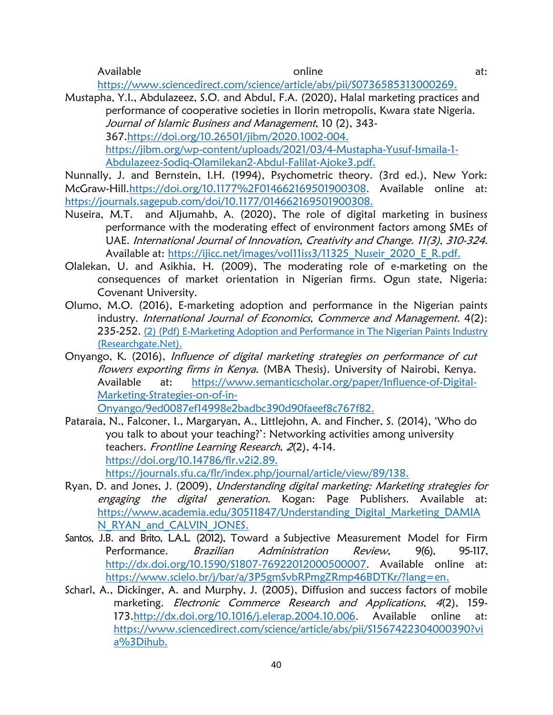Available online at:

[https://www.sciencedirect.com/science/article/abs/pii/S0736585313000269.](https://www.sciencedirect.com/science/article/abs/pii/S0736585313000269)

Mustapha, Y.I., Abdulazeez, S.O. and Abdul, F.A. (2020), Halal marketing practices and performance of cooperative societies in Ilorin metropolis, Kwara state Nigeria. Journal of Islamic Business and Management, 10 (2), 343- 367[.https://doi.org/10.26501/jibm/2020.1002-004.](https://doi.org/10.26501/jibm/2020.1002-004) [https://jibm.org/wp-content/uploads/2021/03/4-Mustapha-Yusuf-Ismaila-1-](https://jibm.org/wp-content/uploads/2021/03/4-Mustapha-Yusuf-Ismaila-1-Abdulazeez-Sodiq-Olamilekan2-Abdul-Falilat-Ajoke3.pdf) [Abdulazeez-Sodiq-Olamilekan2-Abdul-Falilat-Ajoke3.pdf.](https://jibm.org/wp-content/uploads/2021/03/4-Mustapha-Yusuf-Ismaila-1-Abdulazeez-Sodiq-Olamilekan2-Abdul-Falilat-Ajoke3.pdf)

Nunnally, J. and Bernstein, I.H. (1994), Psychometric theory. (3rd ed.), New York: McGraw-Hill[.https://doi.org/10.1177%2F014662169501900308](https://doi.org/10.1177%2F014662169501900308). Available online at: [https://journals.sagepub.com/doi/10.1177/014662169501900308.](https://journals.sagepub.com/doi/10.1177/014662169501900308)

- Nuseira, M.T. and Aljumahb, A. (2020), The role of digital marketing in business performance with the moderating effect of environment factors among SMEs of UAE. International Journal of Innovation, Creativity and Change. 11(3), 310-324. Available at: https://ijicc.net/images/vol11iss3/11325 Nuseir\_2020\_E\_R.pdf.
- Olalekan, U. and Asikhia, H. (2009), The moderating role of e-marketing on the consequences of market orientation in Nigerian firms. Ogun state, Nigeria: Covenant University.
- Olumo, M.O. (2016), E-marketing adoption and performance in the Nigerian paints industry. International Journal of Economics, Commerce and Management. 4(2): 235-252. [\(2\) \(Pdf\) E-Marketing Adoption and Performance in The Nigerian Paints Industry](https://www.researchgate.net/publication/330360532_E-MARKETING_ADOPTION_AND_PERFORMANCE_IN_THE_NIGERIAN_PAINTS_INDUSTRY)  [\(Researchgate.Net\).](https://www.researchgate.net/publication/330360532_E-MARKETING_ADOPTION_AND_PERFORMANCE_IN_THE_NIGERIAN_PAINTS_INDUSTRY)
- Onyango, K. (2016), Influence of digital marketing strategies on performance of cut flowers exporting firms in Kenya. (MBA Thesis). University of Nairobi, Kenya. Available at: [https://www.semanticscholar.org/paper/Influence-of-Digital-](https://www.semanticscholar.org/paper/Influence-of-Digital-Marketing-Strategies-on-of-in-Onyango/9ed0087ef14998e2badbc390d90faeef8c767f82)[Marketing-Strategies-on-of-in-](https://www.semanticscholar.org/paper/Influence-of-Digital-Marketing-Strategies-on-of-in-Onyango/9ed0087ef14998e2badbc390d90faeef8c767f82)

[Onyango/9ed0087ef14998e2badbc390d90faeef8c767f82.](https://www.semanticscholar.org/paper/Influence-of-Digital-Marketing-Strategies-on-of-in-Onyango/9ed0087ef14998e2badbc390d90faeef8c767f82)

- Pataraia, N., Falconer, I., Margaryan, A., Littlejohn, A. and Fincher, S. (2014), 'Who do you talk to about your teaching?': Networking activities among university teachers. Frontline Learning Research, <sup>2</sup>(2), 4-14. [https://doi.org/10.14786/flr.v2i2.89.](https://doi.org/10.14786/flr.v2i2.89) [https://journals.sfu.ca/flr/index.php/journal/article/view/89/138.](https://journals.sfu.ca/flr/index.php/journal/article/view/89/138)
- Ryan, D. and Jones, J. (2009), Understanding digital marketing: Marketing strategies for engaging the digital generation. Kogan: Page Publishers. Available at: [https://www.academia.edu/30511847/Understanding\\_Digital\\_Marketing\\_DAMIA](https://www.academia.edu/30511847/Understanding_Digital_Marketing_DAMIAN_RYAN_and_CALVIN_JONES) [N\\_RYAN\\_and\\_CALVIN\\_JONES.](https://www.academia.edu/30511847/Understanding_Digital_Marketing_DAMIAN_RYAN_and_CALVIN_JONES)
- Santos, J.B. and Brito, L.A.L. (2012), Toward a Subjective Measurement Model for Firm Performance. *Brazilian Administration Review*, 9(6), 95-117, <http://dx.doi.org/10.1590/S1807-76922012000500007>. Available online at: [https://www.scielo.br/j/bar/a/3P5gmSvbRPmgZRmp46BDTKr/?lang=en.](https://www.scielo.br/j/bar/a/3P5gmSvbRPmgZRmp46BDTKr/?lang=en)
- Scharl, A., Dickinger, A. and Murphy, J. (2005), Diffusion and success factors of mobile marketing. *Electronic Commerce Research and Applications*, 4(2), 159-173[.http://dx.doi.org/10.1016/j.elerap.2004.10.006](http://dx.doi.org/10.1016/j.elerap.2004.10.006). Available online at: [https://www.sciencedirect.com/science/article/abs/pii/S1567422304000390?vi](https://www.sciencedirect.com/science/article/abs/pii/S1567422304000390?via%3Dihub) [a%3Dihub.](https://www.sciencedirect.com/science/article/abs/pii/S1567422304000390?via%3Dihub)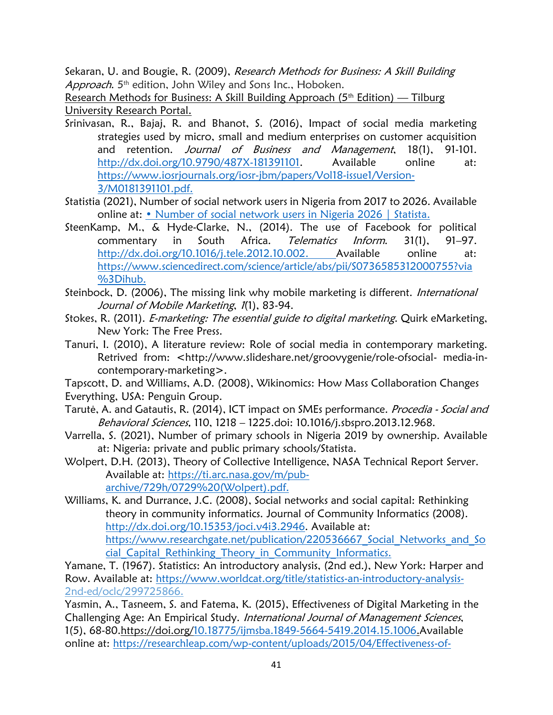Sekaran, U. and Bougie, R. (2009), Research Methods for Business: A Skill Building Approach. 5<sup>th</sup> edition, John Wiley and Sons Inc., Hoboken.

Research Methods for Business: A Skill Building Approach ( $5<sup>th</sup>$  Edition) — Tilburg University Research Portal.

- Srinivasan, R., Bajaj, R. and Bhanot, S. (2016), Impact of social media marketing strategies used by micro, small and medium enterprises on customer acquisition and retention. Journal of Business and Management, 18(1), 91-101. [http://dx.doi.org/10.9790/487X-181391101.](http://dx.doi.org/10.9790/487X-181391101) Available online at: [https://www.iosrjournals.org/iosr-jbm/papers/Vol18-issue1/Version-](https://www.iosrjournals.org/iosr-jbm/papers/Vol18-issue1/Version-3/M0181391101.pdf)[3/M0181391101.pdf.](https://www.iosrjournals.org/iosr-jbm/papers/Vol18-issue1/Version-3/M0181391101.pdf)
- Statistia (2021), Number of social network users in Nigeria from 2017 to 2026. Available online at: [• Number of social network users in Nigeria 2026 | Statista](https://www.statista.com/statistics/972907/number-of-social-network-users-in-nigeria/).
- SteenKamp, M., & Hyde-Clarke, N., (2014). The use of Facebook for political commentary in South Africa. Telematics Inform. 31(1), 91–97. [http://dx.doi.org/10.1016/j.tele.2012.10.002.](http://dx.doi.org/10.1016/j.tele.2012.10.002) Available online at: [https://www.sciencedirect.com/science/article/abs/pii/S0736585312000755?via](https://www.sciencedirect.com/science/article/abs/pii/S0736585312000755?via%3Dihub) [%3Dihub.](https://www.sciencedirect.com/science/article/abs/pii/S0736585312000755?via%3Dihub)
- Steinbock, D. (2006), The missing link why mobile marketing is different. *International* Journal of Mobile Marketing, 1(1), 83-94.
- Stokes, R. (2011). *E-marketing: The essential guide to digital marketing*. Quirk eMarketing, New York: The Free Press.
- Tanuri, I. (2010), A literature review: Role of social media in contemporary marketing. Retrived from: <http://www.slideshare.net/groovygenie/role-ofsocial- media-incontemporary-marketing>.
- Tapscott, D. and Williams, A.D. (2008), Wikinomics: How Mass Collaboration Changes Everything, USA: Penguin Group.
- Tarutė, A. and Gatautis, R. (2014), ICT impact on SMEs performance. Procedia Social and Behavioral Sciences, 110, 1218 – 1225.doi: 10.1016/j.sbspro.2013.12.968.
- Varrella, S. (2021), Number of primary schools in Nigeria 2019 by ownership. Available at: Nigeria: private and public primary schools/Statista.
- Wolpert, D.H. (2013), Theory of Collective Intelligence, NASA Technical Report Server. Available at: [https://ti.arc.nasa.gov/m/pub](https://ti.arc.nasa.gov/m/pub-archive/729h/0729%20(Wolpert).pdf)[archive/729h/0729%20\(Wolpert\).pdf.](https://ti.arc.nasa.gov/m/pub-archive/729h/0729%20(Wolpert).pdf)

Williams, K. and Durrance, J.C. (2008), Social networks and social capital: Rethinking theory in community informatics. Journal of Community Informatics (2008). [http://dx.doi.org/10.15353/joci.v4i3.2946.](http://dx.doi.org/10.15353/joci.v4i3.2946) Available at: https://www.researchgate.net/publication/220536667 Social Networks and So cial Capital Rethinking Theory in Community Informatics.

Yamane, T. (1967). Statistics: An introductory analysis, (2nd ed.), New York: Harper and Row. Available at: [https://www.worldcat.org/title/statistics-an-introductory-analysis-](https://www.worldcat.org/title/statistics-an-introductory-analysis-%202nd-ed/oclc/299725866)2nd-ed/oclc/299725866.

Yasmin, A., Tasneem, S. and Fatema, K. (2015), Effectiveness of Digital Marketing in the Challenging Age: An Empirical Study. International Journal of Management Sciences, 1(5), 68-80.https://doi.org[/10.18775/ijmsba.1849-5664-5419.2014.15.1006.](https://econpapers.repec.org/scripts/redir.pf?u=https%3A%2F%2Fdoi.org%2F10.18775%252Fijmsba.1849-5664-5419.2014.15.1006;h=repec:mgs:ijmsba:v:1:y:2015:i:5:p:69-80)Available online at: [https://researchleap.com/wp-content/uploads/2015/04/Effectiveness-of-](https://researchleap.com/wp-content/uploads/2015/04/Effectiveness-of-Digital-Marketing-in-the-Challenging-Age-An-Empirical-Study.pdf)